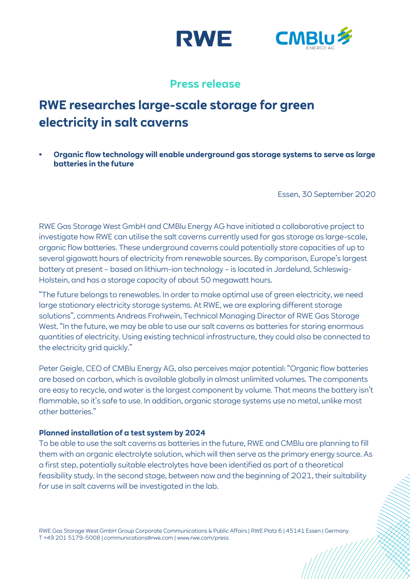



# **Press release**

# **RWE researches large-scale storage for green electricity in salt caverns**

**• Organic flow technology will enable underground gas storage systems to serve as large batteries in the future**

Essen, 30 September 2020

RWE Gas Storage West GmbH and CMBlu Energy AG have initiated a collaborative project to investigate how RWE can utilise the salt caverns currently used for gas storage as large-scale, organic flow batteries. These underground caverns could potentially store capacities of up to several gigawatt hours of electricity from renewable sources. By comparison, Europe's largest battery at present – based on lithium-ion technology – is located in Jardelund, Schleswig-Holstein, and has a storage capacity of about 50 megawatt hours.

"The future belongs to renewables. In order to make optimal use of green electricity, we need large stationary electricity storage systems. At RWE, we are exploring different storage solutions", comments Andreas Frohwein, Technical Managing Director of RWE Gas Storage West. "In the future, we may be able to use our salt caverns as batteries for storing enormous quantities of electricity. Using existing technical infrastructure, they could also be connected to the electricity grid quickly."

Peter Geigle, CEO of CMBlu Energy AG, also perceives major potential: "Organic flow batteries are based on carbon, which is available globally in almost unlimited volumes. The components are easy to recycle, and water is the largest component by volume. That means the battery isn't flammable, so it's safe to use. In addition, organic storage systems use no metal, unlike most other batteries."

# **Planned installation of a test system by 2024**

To be able to use the salt caverns as batteries in the future, RWE and CMBlu are planning to fill them with an organic electrolyte solution, which will then serve as the primary energy source. As a first step, potentially suitable electrolytes have been identified as part of a theoretical feasibility study. In the second stage, between now and the beginning of 2021, their suitability for use in salt caverns will be investigated in the lab.